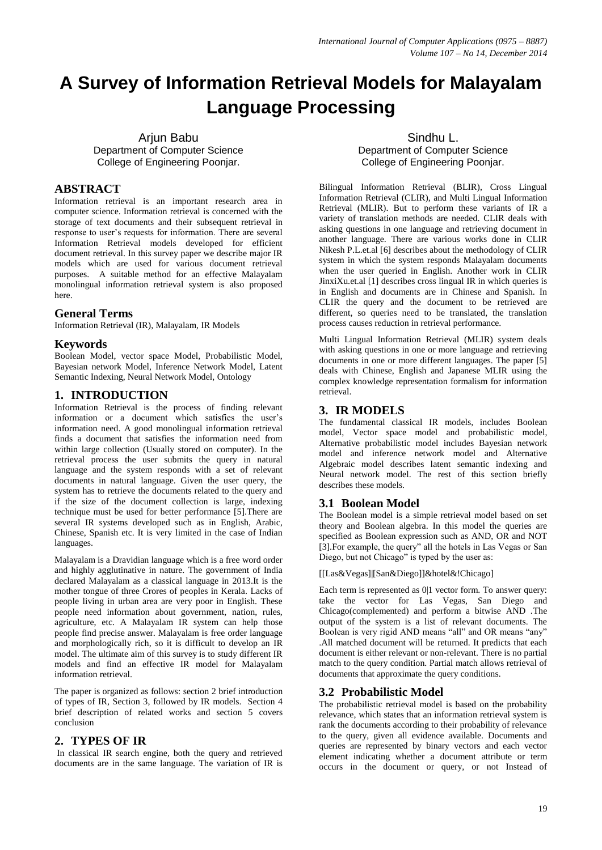# **A Survey of Information Retrieval Models for Malayalam Language Processing**

Arjun Babu Department of Computer Science College of Engineering Poonjar.

## **ABSTRACT**

Information retrieval is an important research area in computer science. Information retrieval is concerned with the storage of text documents and their subsequent retrieval in response to user's requests for information. There are several Information Retrieval models developed for efficient document retrieval. In this survey paper we describe major IR models which are used for various document retrieval purposes. A suitable method for an effective Malayalam monolingual information retrieval system is also proposed here.

## **General Terms**

Information Retrieval (IR), Malayalam, IR Models

## **Keywords**

Boolean Model, vector space Model, Probabilistic Model, Bayesian network Model, Inference Network Model, Latent Semantic Indexing, Neural Network Model, Ontology

## **1. INTRODUCTION**

Information Retrieval is the process of finding relevant information or a document which satisfies the user's information need. A good monolingual information retrieval finds a document that satisfies the information need from within large collection (Usually stored on computer). In the retrieval process the user submits the query in natural language and the system responds with a set of relevant documents in natural language. Given the user query, the system has to retrieve the documents related to the query and if the size of the document collection is large, indexing technique must be used for better performance [5].There are several IR systems developed such as in English, Arabic, Chinese, Spanish etc. It is very limited in the case of Indian languages.

Malayalam is a Dravidian language which is a free word order and highly agglutinative in nature. The government of India declared Malayalam as a classical language in 2013.It is the mother tongue of three Crores of peoples in Kerala. Lacks of people living in urban area are very poor in English. These people need information about government, nation, rules, agriculture, etc. A Malayalam IR system can help those people find precise answer. Malayalam is free order language and morphologically rich, so it is difficult to develop an IR model. The ultimate aim of this survey is to study different IR models and find an effective IR model for Malayalam information retrieval.

The paper is organized as follows: section 2 brief introduction of types of IR, Section 3, followed by IR models. Section 4 brief description of related works and section 5 covers conclusion

# **2. TYPES OF IR**

In classical IR search engine, both the query and retrieved documents are in the same language. The variation of IR is

Sindhu L. Department of Computer Science College of Engineering Poonjar.

Bilingual Information Retrieval (BLIR), Cross Lingual Information Retrieval (CLIR), and Multi Lingual Information Retrieval (MLIR). But to perform these variants of IR a variety of translation methods are needed. CLIR deals with asking questions in one language and retrieving document in another language. There are various works done in CLIR Nikesh P.L.et.al [6] describes about the methodology of CLIR system in which the system responds Malayalam documents when the user queried in English. Another work in CLIR JinxiXu.et.al [1] describes cross lingual IR in which queries is in English and documents are in Chinese and Spanish. In CLIR the query and the document to be retrieved are different, so queries need to be translated, the translation process causes reduction in retrieval performance.

Multi Lingual Information Retrieval (MLIR) system deals with asking questions in one or more language and retrieving documents in one or more different languages. The paper [5] deals with Chinese, English and Japanese MLIR using the complex knowledge representation formalism for information retrieval.

## **3. IR MODELS**

The fundamental classical IR models, includes Boolean model, Vector space model and probabilistic model, Alternative probabilistic model includes Bayesian network model and inference network model and Alternative Algebraic model describes latent semantic indexing and Neural network model. The rest of this section briefly describes these models.

# **3.1 Boolean Model**

The Boolean model is a simple retrieval model based on set theory and Boolean algebra. In this model the queries are specified as Boolean expression such as AND, OR and NOT [3].For example, the query" all the hotels in Las Vegas or San Diego, but not Chicago" is typed by the user as:

[[Las&Vegas]|[San&Diego]]&hotel&!Chicago]

Each term is represented as 0|1 vector form. To answer query: take the vector for Las Vegas, San Diego and Chicago(complemented) and perform a bitwise AND .The output of the system is a list of relevant documents. The Boolean is very rigid AND means "all" and OR means "any" .All matched document will be returned. It predicts that each document is either relevant or non-relevant. There is no partial match to the query condition. Partial match allows retrieval of documents that approximate the query conditions.

# **3.2 Probabilistic Model**

The probabilistic retrieval model is based on the probability relevance, which states that an information retrieval system is rank the documents according to their probability of relevance to the query, given all evidence available. Documents and queries are represented by binary vectors and each vector element indicating whether a document attribute or term occurs in the document or query, or not Instead of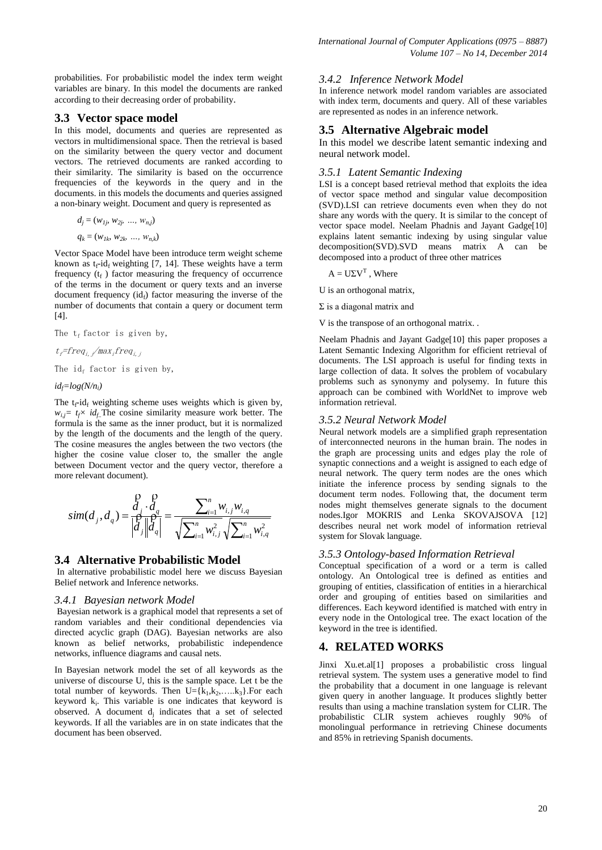probabilities. For probabilistic model the index term weight variables are binary. In this model the documents are ranked according to their decreasing order of probability.

#### **3.3 Vector space model**

In this model, documents and queries are represented as vectors in multidimensional space. Then the retrieval is based on the similarity between the query vector and document vectors. The retrieved documents are ranked according to their similarity. The similarity is based on the occurrence frequencies of the keywords in the query and in the documents. in this models the documents and queries assigned a non-binary weight. Document and query is represented as

$$
d_j = (w_{1j}, w_{2j}, ..., w_{n,j})
$$

$$
q_k = (w_{1k}, w_{2k}, \ldots, w_{n,k})
$$

Vector Space Model have been introduce term weight scheme known as  $t_f$ -id<sub>f</sub> weighting [7, 14]. These weights have a term frequency  $(t_f)$  factor measuring the frequency of occurrence of the terms in the document or query texts and an inverse document frequency  $(id_f)$  factor measuring the inverse of the number of documents that contain a query or document term [4].

The  $t_f$  factor is given by,

 $t_f$ =freq<sub>i</sub>, /max<sub>i</sub>freq<sub>i, i</sub>

The id<sub>f</sub> factor is given by,

*idf=log(N/n<sup>i</sup> )*

The  $t_f$ -id<sub>f</sub> weighting scheme uses weights which is given by,  $w_{i,j} = t_f \times id_f$ . The cosine similarity measure work better. The formula is the same as the inner product, but it is normalized by the length of the documents and the length of the query. The cosine measures the angles between the two vectors (the higher the cosine value closer to, the smaller the angle between Document vector and the query vector, therefore a more relevant document).

$$
sim(d_j, d_q) = \frac{\bigg|_{d_j}^{\rho} \cdot \bigg|_{d_q}}{\bigg|_{d_j}^{\rho} \bigg|_{d_q}} = \frac{\sum_{i=1}^n w_{i,j} w_{i,q}}{\sqrt{\sum_{i=1}^n w_{i,j}^2} \sqrt{\sum_{i=1}^n w_{i,q}^2}}
$$

## **3.4 Alternative Probabilistic Model**

In alternative probabilistic model here we discuss Bayesian Belief network and Inference networks.

#### *3.4.1 Bayesian network Model*

Bayesian network is a graphical model that represents a set of random variables and their conditional dependencies via directed acyclic graph (DAG). Bayesian networks are also known as belief networks, probabilistic independence networks, influence diagrams and causal nets.

In Bayesian network model the set of all keywords as the universe of discourse U, this is the sample space. Let t be the total number of keywords. Then  $U = \{k_1, k_2, \ldots, k_3\}$ . For each keyword  $k_i$ . This variable is one indicates that keyword is observed. A document  $d_j$  indicates that a set of selected keywords. If all the variables are in on state indicates that the document has been observed.

#### *3.4.2 Inference Network Model*

In inference network model random variables are associated with index term, documents and query. All of these variables are represented as nodes in an inference network.

#### **3.5 Alternative Algebraic model**

In this model we describe latent semantic indexing and neural network model.

#### *3.5.1 Latent Semantic Indexing*

LSI is a concept based retrieval method that exploits the idea of vector space method and singular value decomposition (SVD).LSI can retrieve documents even when they do not share any words with the query. It is similar to the concept of vector space model. Neelam Phadnis and Jayant Gadge[10] explains latent semantic indexing by using singular value decomposition(SVD).SVD means matrix A can be decomposed into a product of three other matrices

 $A = U\Sigma V^{T}$ , Where

U is an orthogonal matrix,

 $\Sigma$  is a diagonal matrix and

V is the transpose of an orthogonal matrix. .

Neelam Phadnis and Jayant Gadge[10] this paper proposes a Latent Semantic Indexing Algorithm for efficient retrieval of documents. The LSI approach is useful for finding texts in large collection of data. It solves the problem of vocabulary problems such as synonymy and polysemy. In future this approach can be combined with WorldNet to improve web information retrieval.

#### *3.5.2 Neural Network Model*

Neural network models are a simplified graph representation of interconnected neurons in the human brain. The nodes in the graph are processing units and edges play the role of synaptic connections and a weight is assigned to each edge of neural network. The query term nodes are the ones which initiate the inference process by sending signals to the document term nodes. Following that, the document term nodes might themselves generate signals to the document nodes.Igor MOKRIS and Lenka SKOVAJSOVA [12] describes neural net work model of information retrieval system for Slovak language.

#### *3.5.3 Ontology-based Information Retrieval*

Conceptual specification of a word or a term is called ontology. An Ontological tree is defined as entities and grouping of entities, classification of entities in a hierarchical order and grouping of entities based on similarities and differences. Each keyword identified is matched with entry in every node in the Ontological tree. The exact location of the keyword in the tree is identified.

## **4. RELATED WORKS**

Jinxi Xu.et.al[1] proposes a probabilistic cross lingual retrieval system. The system uses a generative model to find the probability that a document in one language is relevant given query in another language. It produces slightly better results than using a machine translation system for CLIR. The probabilistic CLIR system achieves roughly 90% of monolingual performance in retrieving Chinese documents and 85% in retrieving Spanish documents.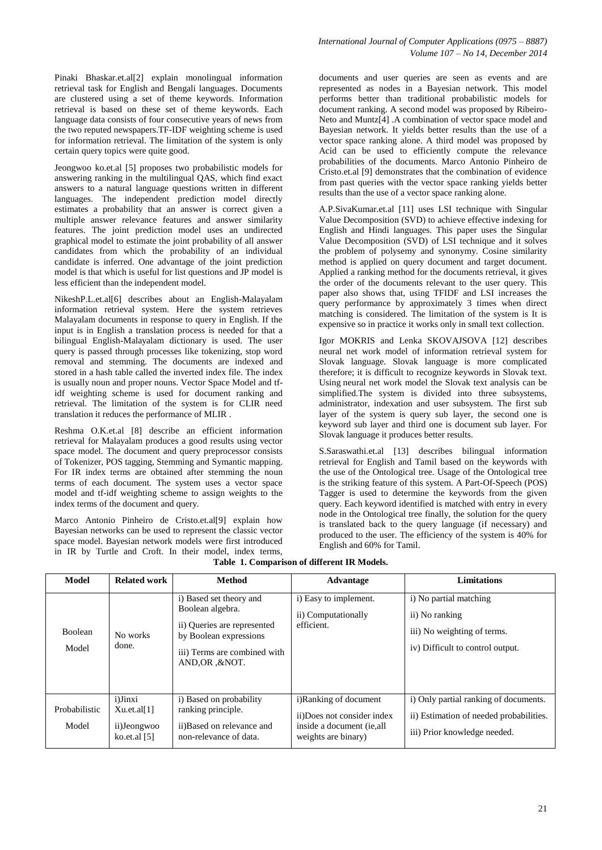Pinaki Bhaskar.et.al[2] explain monolingual information retrieval task for English and Bengali languages. Documents are clustered using a set of theme keywords. Information retrieval is based on these set of theme keywords. Each language data consists of four consecutive years of news from the two reputed newspapers.TF-IDF weighting scheme is used for information retrieval. The limitation of the system is only certain query topics were quite good.

Jeongwoo ko.et.al [5] proposes two probabilistic models for answering ranking in the multilingual QAS, which find exact answers to a natural language questions written in different languages. The independent prediction model directly estimates a probability that an answer is correct given a multiple answer relevance features and answer similarity features. The joint prediction model uses an undirected graphical model to estimate the joint probability of all answer candidates from which the probability of an individual candidate is inferred. One advantage of the joint prediction model is that which is useful for list questions and JP model is less efficient than the independent model.

NikeshP.L.et.al[6] describes about an English-Malayalam information retrieval system. Here the system retrieves Malayalam documents in response to query in English. If the input is in English a translation process is needed for that a bilingual English-Malayalam dictionary is used. The user query is passed through processes like tokenizing, stop word removal and stemming. The documents are indexed and stored in a hash table called the inverted index file. The index is usually noun and proper nouns. Vector Space Model and tfidf weighting scheme is used for document ranking and retrieval. The limitation of the system is for CLIR need translation it reduces the performance of MLIR .

Reshma O.K.et.al [8] describe an efficient information retrieval for Malayalam produces a good results using vector space model. The document and query preprocessor consists of Tokenizer, POS tagging, Stemming and Symantic mapping. For IR index terms are obtained after stemming the noun terms of each document. The system uses a vector space model and tf-idf weighting scheme to assign weights to the index terms of the document and query.

Marco Antonio Pinheiro de Cristo.et.al[9] explain how Bayesian networks can be used to represent the classic vector space model. Bayesian network models were first introduced in IR by Turtle and Croft. In their model, index terms,

documents and user queries are seen as events and are represented as nodes in a Bayesian network. This model performs better than traditional probabilistic models for document ranking. A second model was proposed by Ribeiro-Neto and Muntz[4] .A combination of vector space model and Bayesian network. It yields better results than the use of a vector space ranking alone. A third model was proposed by Acid can be used to efficiently compute the relevance probabilities of the documents. Marco Antonio Pinheiro de Cristo.et.al [9] demonstrates that the combination of evidence from past queries with the vector space ranking yields better results than the use of a vector space ranking alone.

A.P.SivaKumar.et.al [11] uses LSI technique with Singular Value Decomposition (SVD) to achieve effective indexing for English and Hindi languages. This paper uses the Singular Value Decomposition (SVD) of LSI technique and it solves the problem of polysemy and synonymy. Cosine similarity method is applied on query document and target document. Applied a ranking method for the documents retrieval, it gives the order of the documents relevant to the user query. This paper also shows that, using TFIDF and LSI increases the query performance by approximately 3 times when direct matching is considered. The limitation of the system is It is expensive so in practice it works only in small text collection.

Igor MOKRIS and Lenka SKOVAJSOVA [12] describes neural net work model of information retrieval system for Slovak language. Slovak language is more complicated therefore; it is difficult to recognize keywords in Slovak text. Using neural net work model the Slovak text analysis can be simplified.The system is divided into three subsystems, administrator, indexation and user subsystem. The first sub layer of the system is query sub layer, the second one is keyword sub layer and third one is document sub layer. For Slovak language it produces better results.

S.Saraswathi.et.al [13] describes bilingual information retrieval for English and Tamil based on the keywords with the use of the Ontological tree. Usage of the Ontological tree is the striking feature of this system. A Part-Of-Speech (POS) Tagger is used to determine the keywords from the given query. Each keyword identified is matched with entry in every node in the Ontological tree finally, the solution for the query is translated back to the query language (if necessary) and produced to the user. The efficiency of the system is 40% for English and 60% for Tamil.

| <b>Model</b>            | <b>Related work</b>                                             | <b>Method</b>                                                                                                                                           | Advantage                                                                                                | <b>Limitations</b>                                                                                               |
|-------------------------|-----------------------------------------------------------------|---------------------------------------------------------------------------------------------------------------------------------------------------------|----------------------------------------------------------------------------------------------------------|------------------------------------------------------------------------------------------------------------------|
| <b>Boolean</b><br>Model | No works<br>done.                                               | i) Based set theory and<br>Boolean algebra.<br>ii) Queries are represented<br>by Boolean expressions<br>iii) Terms are combined with<br>AND, OR, & NOT. | i) Easy to implement.<br>ii) Computationally<br>efficient.                                               | i) No partial matching<br>ii) No ranking<br>iii) No weighting of terms.<br>iv) Difficult to control output.      |
| Probabilistic<br>Model  | <i>i</i> )Jinxi<br>Xu.et.al[1]<br>ii)Jeongwoo<br>ko.et.al $[5]$ | i) Based on probability<br>ranking principle.<br>ii)Based on relevance and<br>non-relevance of data.                                                    | i)Ranking of document<br>ii)Does not consider index<br>inside a document (ie, all<br>weights are binary) | i) Only partial ranking of documents.<br>ii) Estimation of needed probabilities.<br>iii) Prior knowledge needed. |

**Table 1. Comparison of different IR Models.**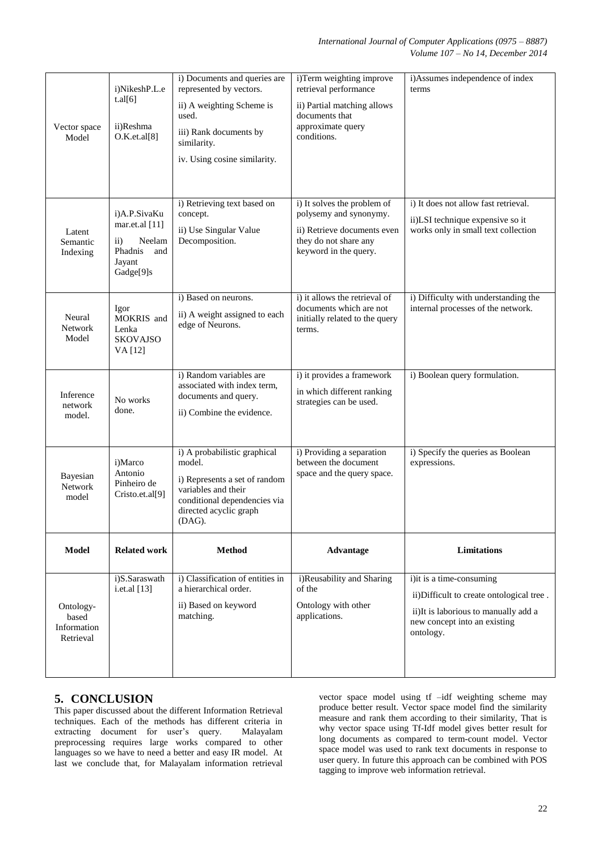|                                                | i)NikeshP.L.e<br>t.al[6]                                                                       | i) Documents and queries are<br>represented by vectors.                                                                                                            | i)Term weighting improve<br>retrieval performance                                                                                      | i)Assumes independence of index<br>terms                                                                                                                  |
|------------------------------------------------|------------------------------------------------------------------------------------------------|--------------------------------------------------------------------------------------------------------------------------------------------------------------------|----------------------------------------------------------------------------------------------------------------------------------------|-----------------------------------------------------------------------------------------------------------------------------------------------------------|
| Vector space<br>Model                          | ii)Reshma<br>O.K.et.al[8]                                                                      | ii) A weighting Scheme is<br>used.<br>iii) Rank documents by<br>similarity.                                                                                        | ii) Partial matching allows<br>documents that<br>approximate query<br>conditions.                                                      |                                                                                                                                                           |
|                                                |                                                                                                | iv. Using cosine similarity.                                                                                                                                       |                                                                                                                                        |                                                                                                                                                           |
| Latent<br>Semantic<br>Indexing                 | i)A.P.SivaKu<br>mar.et.al [11]<br>$\rm ii)$<br>Neelam<br>Phadnis<br>and<br>Jayant<br>Gadge[9]s | i) Retrieving text based on<br>concept.<br>ii) Use Singular Value<br>Decomposition.                                                                                | i) It solves the problem of<br>polysemy and synonymy.<br>ii) Retrieve documents even<br>they do not share any<br>keyword in the query. | i) It does not allow fast retrieval.<br>ii)LSI technique expensive so it<br>works only in small text collection                                           |
| Neural<br>Network<br>Model                     | Igor<br>MOKRIS and<br>Lenka<br><b>SKOVAJSO</b><br>VA [12]                                      | i) Based on neurons.<br>ii) A weight assigned to each<br>edge of Neurons.                                                                                          | i) it allows the retrieval of<br>documents which are not<br>initially related to the query<br>terms.                                   | i) Difficulty with understanding the<br>internal processes of the network.                                                                                |
| Inference<br>network<br>model.                 | No works<br>done.                                                                              | i) Random variables are<br>associated with index term,<br>documents and query.<br>ii) Combine the evidence.                                                        | i) it provides a framework<br>in which different ranking<br>strategies can be used.                                                    | i) Boolean query formulation.                                                                                                                             |
| Bayesian<br>Network<br>model                   | i)Marco<br>Antonio<br>Pinheiro de<br>Cristo.et.al[9]                                           | i) A probabilistic graphical<br>model.<br>i) Represents a set of random<br>variables and their<br>conditional dependencies via<br>directed acyclic graph<br>(DAG). | i) Providing a separation<br>between the document<br>space and the query space.                                                        | i) Specify the queries as Boolean<br>expressions.                                                                                                         |
| <b>Model</b>                                   | <b>Related work</b>                                                                            | <b>Method</b>                                                                                                                                                      | <b>Advantage</b>                                                                                                                       | Limitations                                                                                                                                               |
| Ontology-<br>based<br>Information<br>Retrieval | i)S.Saraswath<br>i.et.al $[13]$                                                                | i) Classification of entities in<br>a hierarchical order.<br>ii) Based on keyword<br>matching.                                                                     | i)Reusability and Sharing<br>of the<br>Ontology with other<br>applications.                                                            | i)it is a time-consuming<br>ii)Difficult to create ontological tree.<br>ii)It is laborious to manually add a<br>new concept into an existing<br>ontology. |

# **5. CONCLUSION**

This paper discussed about the different Information Retrieval techniques. Each of the methods has different criteria in extracting document for user's query. Malayalam preprocessing requires large works compared to other languages so we have to need a better and easy IR model. At last we conclude that, for Malayalam information retrieval

vector space model using tf –idf weighting scheme may produce better result. Vector space model find the similarity measure and rank them according to their similarity, That is why vector space using Tf-Idf model gives better result for long documents as compared to term-count model. Vector space model was used to rank text documents in response to user query. In future this approach can be combined with POS tagging to improve web information retrieval.